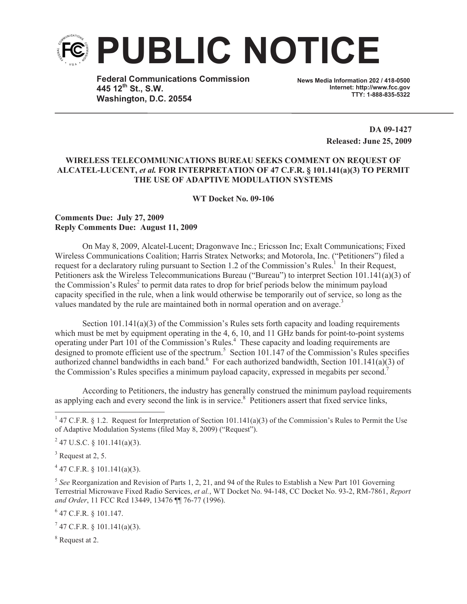

**Federal Communications Commission 445 12th St., S.W. Washington, D.C. 20554**

**News Media Information 202 / 418-0500 Internet: http://www.fcc.gov TTY: 1-888-835-5322**

> **DA 09-1427 Released: June 25, 2009**

## **WIRELESS TELECOMMUNICATIONS BUREAU SEEKS COMMENT ON REQUEST OF ALCATEL-LUCENT,** *et al.* **FOR INTERPRETATION OF 47 C.F.R. § 101.141(a)(3) TO PERMIT THE USE OF ADAPTIVE MODULATION SYSTEMS**

**WT Docket No. 09-106**

## **Comments Due: July 27, 2009 Reply Comments Due: August 11, 2009**

On May 8, 2009, Alcatel-Lucent; Dragonwave Inc.; Ericsson Inc; Exalt Communications; Fixed Wireless Communications Coalition; Harris Stratex Networks; and Motorola, Inc. ("Petitioners") filed a request for a declaratory ruling pursuant to Section 1.2 of the Commission's Rules.<sup>1</sup> In their Request, Petitioners ask the Wireless Telecommunications Bureau ("Bureau") to interpret Section 101.141(a)(3) of the Commission's Rules<sup>2</sup> to permit data rates to drop for brief periods below the minimum payload capacity specified in the rule, when a link would otherwise be temporarily out of service, so long as the values mandated by the rule are maintained both in normal operation and on average.<sup>3</sup>

Section 101.141(a)(3) of the Commission's Rules sets forth capacity and loading requirements which must be met by equipment operating in the 4, 6, 10, and 11 GHz bands for point-to-point systems operating under Part 101 of the Commission's Rules.<sup>4</sup> These capacity and loading requirements are designed to promote efficient use of the spectrum.<sup>5</sup> Section 101.147 of the Commission's Rules specifies authorized channel bandwidths in each band.<sup>6</sup> For each authorized bandwidth, Section 101.141(a)(3) of the Commission's Rules specifies a minimum payload capacity, expressed in megabits per second.<sup>7</sup>

According to Petitioners, the industry has generally construed the minimum payload requirements as applying each and every second the link is in service.<sup>8</sup> Petitioners assert that fixed service links,

 $4$  47 C.F.R. § 101.141(a)(3).

6 47 C.F.R. § 101.147.

 $7$  47 C.F.R. § 101.141(a)(3).

<sup>8</sup> Request at 2.

<sup>&</sup>lt;sup>1</sup> 47 C.F.R. § 1.2. Request for Interpretation of Section 101.141(a)(3) of the Commission's Rules to Permit the Use of Adaptive Modulation Systems (filed May 8, 2009) ("Request").

 $2$  47 U.S.C. § 101.141(a)(3).

 $3$  Request at 2, 5.

<sup>5</sup> *See* Reorganization and Revision of Parts 1, 2, 21, and 94 of the Rules to Establish a New Part 101 Governing Terrestrial Microwave Fixed Radio Services, *et al.*, WT Docket No. 94-148, CC Docket No. 93-2, RM-7861, *Report and Order*, 11 FCC Rcd 13449, 13476 ¶¶ 76-77 (1996).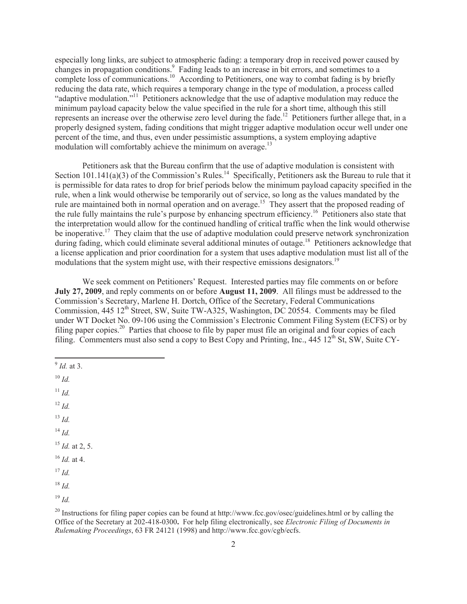especially long links, are subject to atmospheric fading: a temporary drop in received power caused by changes in propagation conditions.<sup>9</sup> Fading leads to an increase in bit errors, and sometimes to a complete loss of communications.<sup>10</sup> According to Petitioners, one way to combat fading is by briefly reducing the data rate, which requires a temporary change in the type of modulation, a process called "adaptive modulation."<sup>11</sup> Petitioners acknowledge that the use of adaptive modulation may reduce the minimum payload capacity below the value specified in the rule for a short time, although this still represents an increase over the otherwise zero level during the fade.<sup>12</sup> Petitioners further allege that, in a properly designed system, fading conditions that might trigger adaptive modulation occur well under one percent of the time, and thus, even under pessimistic assumptions, a system employing adaptive modulation will comfortably achieve the minimum on average. $^{13}$ 

Petitioners ask that the Bureau confirm that the use of adaptive modulation is consistent with Section 101.141(a)(3) of the Commission's Rules.<sup>14</sup> Specifically, Petitioners ask the Bureau to rule that it is permissible for data rates to drop for brief periods below the minimum payload capacity specified in the rule, when a link would otherwise be temporarily out of service, so long as the values mandated by the rule are maintained both in normal operation and on average.<sup>15</sup> They assert that the proposed reading of the rule fully maintains the rule's purpose by enhancing spectrum efficiency.<sup>16</sup> Petitioners also state that the interpretation would allow for the continued handling of critical traffic when the link would otherwise be inoperative.<sup>17</sup> They claim that the use of adaptive modulation could preserve network synchronization during fading, which could eliminate several additional minutes of outage.<sup>18</sup> Petitioners acknowledge that a license application and prior coordination for a system that uses adaptive modulation must list all of the modulations that the system might use, with their respective emissions designators.<sup>19</sup>

We seek comment on Petitioners' Request. Interested parties may file comments on or before **July 27, 2009**, and reply comments on or before **August 11, 2009**. All filings must be addressed to the Commission's Secretary, Marlene H. Dortch, Office of the Secretary, Federal Communications Commission, 445 12<sup>th</sup> Street, SW, Suite TW-A325, Washington, DC 20554. Comments may be filed under WT Docket No. 09-106 using the Commission's Electronic Comment Filing System (ECFS) or by filing paper copies.<sup>20</sup> Parties that choose to file by paper must file an original and four copies of each filing. Commenters must also send a copy to Best Copy and Printing, Inc.,  $445 \, 12^{th}$  St, SW, Suite CY-

- 9 *Id.* at 3.
- <sup>10</sup> *Id.*
- <sup>11</sup> *Id.*
- <sup>12</sup> *Id.*
- <sup>13</sup> *Id.*
- $^{14}$  *Id.*
- <sup>15</sup> *Id.* at 2, 5.
- <sup>16</sup> *Id.* at 4.
- $17$  *Id.*

<sup>19</sup> *Id.*

<sup>18</sup> *Id.*

<sup>&</sup>lt;sup>20</sup> Instructions for filing paper copies can be found at http://www.fcc.gov/osec/guidelines.html or by calling the Office of the Secretary at 202-418-0300**.** For help filing electronically, see *Electronic Filing of Documents in Rulemaking Proceedings*, 63 FR 24121 (1998) and http://www.fcc.gov/cgb/ecfs.